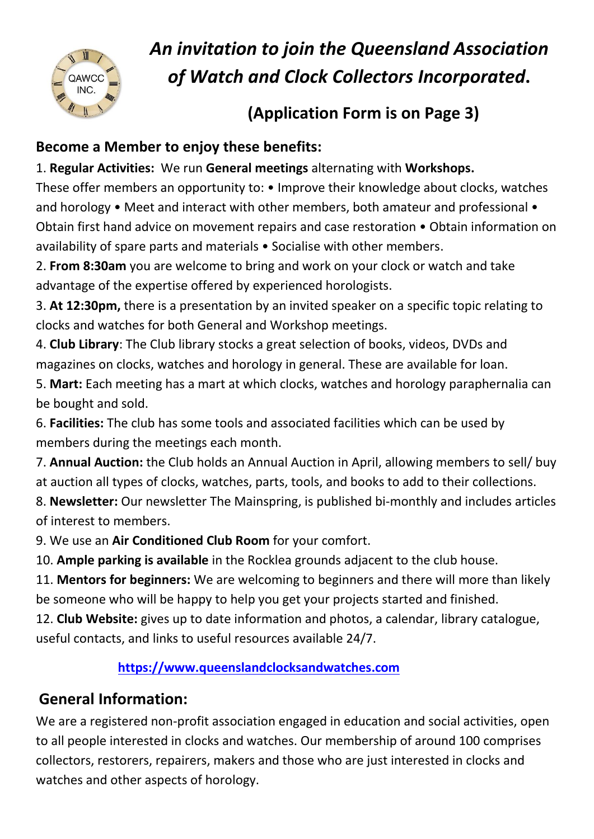

# *An invitation to join the Queensland Association of Watch and Clock Collectors Incorporated***.**

## **(Application Form is on Page 3)**

#### **Become a Member to enjoy these benefits:**

1. **Regular Activities:** We run **General meetings** alternating with **Workshops.**  These offer members an opportunity to: • Improve their knowledge about clocks, watches and horology • Meet and interact with other members, both amateur and professional • Obtain first hand advice on movement repairs and case restoration • Obtain information on availability of spare parts and materials • Socialise with other members.

2. **From 8:30am** you are welcome to bring and work on your clock or watch and take advantage of the expertise offered by experienced horologists.

3. **At 12:30pm,** there is a presentation by an invited speaker on a specific topic relating to clocks and watches for both General and Workshop meetings.

4. **Club Library**: The Club library stocks a great selection of books, videos, DVDs and magazines on clocks, watches and horology in general. These are available for loan.

5. **Mart:** Each meeting has a mart at which clocks, watches and horology paraphernalia can be bought and sold.

6. **Facilities:** The club has some tools and associated facilities which can be used by members during the meetings each month.

7. **Annual Auction:** the Club holds an Annual Auction in April, allowing members to sell/ buy at auction all types of clocks, watches, parts, tools, and books to add to their collections.

8. **Newsletter:** Our newsletter The Mainspring, is published bi-monthly and includes articles of interest to members.

9. We use an **Air Conditioned Club Room** for your comfort.

10. **Ample parking is available** in the Rocklea grounds adjacent to the club house.

11. **Mentors for beginners:** We are welcoming to beginners and there will more than likely be someone who will be happy to help you get your projects started and finished.

12. **Club Website:** gives up to date information and photos, a calendar, library catalogue, useful contacts, and links to useful resources available 24/7.

#### **[https://www.queenslandclocksandwatches.com](https://www.queenslandclocksandwatches.com/)**

### **General Information:**

We are a registered non-profit association engaged in education and social activities, open to all people interested in clocks and watches. Our membership of around 100 comprises collectors, restorers, repairers, makers and those who are just interested in clocks and watches and other aspects of horology.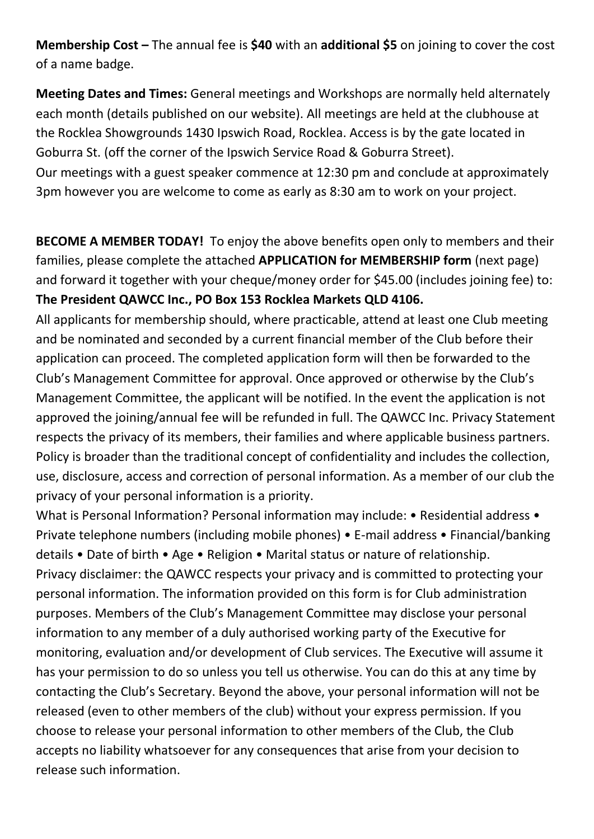**Membership Cost –** The annual fee is **\$40** with an **additional \$5** on joining to cover the cost of a name badge.

**Meeting Dates and Times:** General meetings and Workshops are normally held alternately each month (details published on our website). All meetings are held at the clubhouse at the Rocklea Showgrounds 1430 Ipswich Road, Rocklea. Access is by the gate located in Goburra St. (off the corner of the Ipswich Service Road & Goburra Street). Our meetings with a guest speaker commence at 12:30 pm and conclude at approximately 3pm however you are welcome to come as early as 8:30 am to work on your project.

**BECOME A MEMBER TODAY!** To enjoy the above benefits open only to members and their families, please complete the attached **APPLICATION for MEMBERSHIP form** (next page) and forward it together with your cheque/money order for \$45.00 (includes joining fee) to: **The President QAWCC Inc., PO Box 153 Rocklea Markets QLD 4106.** 

All applicants for membership should, where practicable, attend at least one Club meeting and be nominated and seconded by a current financial member of the Club before their application can proceed. The completed application form will then be forwarded to the Club's Management Committee for approval. Once approved or otherwise by the Club's Management Committee, the applicant will be notified. In the event the application is not approved the joining/annual fee will be refunded in full. The QAWCC Inc. Privacy Statement respects the privacy of its members, their families and where applicable business partners. Policy is broader than the traditional concept of confidentiality and includes the collection, use, disclosure, access and correction of personal information. As a member of our club the privacy of your personal information is a priority.

What is Personal Information? Personal information may include: • Residential address • Private telephone numbers (including mobile phones) • E-mail address • Financial/banking details • Date of birth • Age • Religion • Marital status or nature of relationship. Privacy disclaimer: the QAWCC respects your privacy and is committed to protecting your personal information. The information provided on this form is for Club administration purposes. Members of the Club's Management Committee may disclose your personal information to any member of a duly authorised working party of the Executive for monitoring, evaluation and/or development of Club services. The Executive will assume it has your permission to do so unless you tell us otherwise. You can do this at any time by contacting the Club's Secretary. Beyond the above, your personal information will not be released (even to other members of the club) without your express permission. If you choose to release your personal information to other members of the Club, the Club accepts no liability whatsoever for any consequences that arise from your decision to release such information.